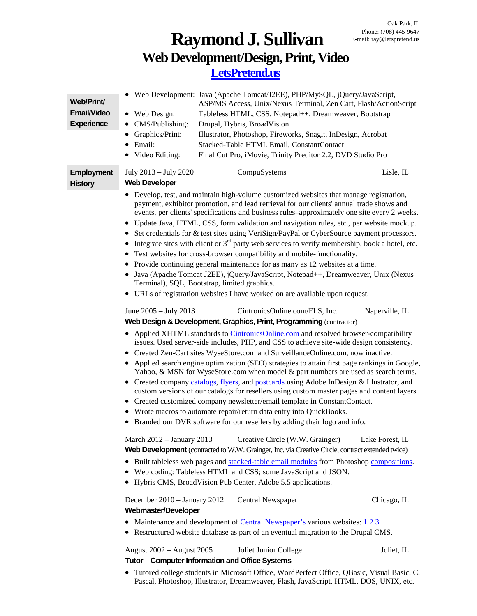## **Raymond J. Sullivan Web Development/Design, Print, Video [LetsPretend.us](http://letspretend.us/)**

| Web/Print/<br><b>Email/Video</b><br><b>Experience</b> | • Web Development: Java (Apache Tomcat/J2EE), PHP/MySQL, jQuery/JavaScript,<br>ASP/MS Access, Unix/Nexus Terminal, Zen Cart, Flash/ActionScript<br>• Web Design:<br>Tableless HTML, CSS, Notepad++, Dreamweaver, Bootstrap<br>CMS/Publishing:<br>Drupal, Hybris, BroadVision<br>Graphics/Print:<br>Illustrator, Photoshop, Fireworks, Snagit, InDesign, Acrobat<br>Email:<br>Stacked-Table HTML Email, ConstantContact<br>$\bullet$<br>• Video Editing:<br>Final Cut Pro, iMovie, Trinity Preditor 2.2, DVD Studio Pro                                                                                                                                                                                                                                                                                                                                                                                                                                                                                                                                                                                                                                                                                                                                                                                                                                                                                                                                                                                                                                                                                                                                                                                                                                                                                                                                                  |  |  |  |
|-------------------------------------------------------|-------------------------------------------------------------------------------------------------------------------------------------------------------------------------------------------------------------------------------------------------------------------------------------------------------------------------------------------------------------------------------------------------------------------------------------------------------------------------------------------------------------------------------------------------------------------------------------------------------------------------------------------------------------------------------------------------------------------------------------------------------------------------------------------------------------------------------------------------------------------------------------------------------------------------------------------------------------------------------------------------------------------------------------------------------------------------------------------------------------------------------------------------------------------------------------------------------------------------------------------------------------------------------------------------------------------------------------------------------------------------------------------------------------------------------------------------------------------------------------------------------------------------------------------------------------------------------------------------------------------------------------------------------------------------------------------------------------------------------------------------------------------------------------------------------------------------------------------------------------------------|--|--|--|
| Employment<br><b>History</b>                          | July 2013 - July 2020<br>CompuSystems<br>Lisle, IL<br><b>Web Developer</b>                                                                                                                                                                                                                                                                                                                                                                                                                                                                                                                                                                                                                                                                                                                                                                                                                                                                                                                                                                                                                                                                                                                                                                                                                                                                                                                                                                                                                                                                                                                                                                                                                                                                                                                                                                                              |  |  |  |
|                                                       | • Develop, test, and maintain high-volume customized websites that manage registration,<br>payment, exhibitor promotion, and lead retrieval for our clients' annual trade shows and<br>events, per clients' specifications and business rules-approximately one site every 2 weeks.<br>• Update Java, HTML, CSS, form validation and navigation rules, etc., per website mockup.<br>• Set credentials for & test sites using VeriSign/PayPal or CyberSource payment processors.<br>• Integrate sites with client or $3rd$ party web services to verify membership, book a hotel, etc.<br>Test websites for cross-browser compatibility and mobile-functionality.<br>• Provide continuing general maintenance for as many as 12 websites at a time.<br>• Java (Apache Tomcat J2EE), jQuery/JavaScript, Notepad++, Dreamweaver, Unix (Nexus<br>Terminal), SQL, Bootstrap, limited graphics.<br>• URLs of registration websites I have worked on are available upon request.<br>June 2005 - July 2013<br>CintronicsOnline.com/FLS, Inc.<br>Naperville, IL<br>Web Design & Development, Graphics, Print, Programming (contractor)<br>• Applied XHTML standards to CintronicsOnline.com and resolved browser-compatibility<br>issues. Used server-side includes, PHP, and CSS to achieve site-wide design consistency.<br>• Created Zen-Cart sites WyseStore.com and SurveillanceOnline.com, now inactive.<br>• Applied search engine optimization (SEO) strategies to attain first page rankings in Google,<br>Yahoo, & MSN for WyseStore.com when model & part numbers are used as search terms.<br>• Created company catalogs, flyers, and postcards using Adobe InDesign & Illustrator, and<br>custom versions of our catalogs for resellers using custom master pages and content layers.<br>• Created customized company newsletter/email template in ConstantContact. |  |  |  |
|                                                       | • Wrote macros to automate repair/return data entry into QuickBooks.<br>• Branded our DVR software for our resellers by adding their logo and info.                                                                                                                                                                                                                                                                                                                                                                                                                                                                                                                                                                                                                                                                                                                                                                                                                                                                                                                                                                                                                                                                                                                                                                                                                                                                                                                                                                                                                                                                                                                                                                                                                                                                                                                     |  |  |  |
|                                                       | March 2012 - January 2013<br>Creative Circle (W.W. Grainger)<br>Lake Forest, IL<br>Web Development (contracted to W.W. Grainger, Inc. via Creative Circle, contract extended twice)<br>• Built tableless web pages and stacked-table email modules from Photoshop compositions.<br>• Web coding: Tableless HTML and CSS; some JavaScript and JSON.<br>• Hybris CMS, BroadVision Pub Center, Adobe 5.5 applications.                                                                                                                                                                                                                                                                                                                                                                                                                                                                                                                                                                                                                                                                                                                                                                                                                                                                                                                                                                                                                                                                                                                                                                                                                                                                                                                                                                                                                                                     |  |  |  |
|                                                       | December 2010 - January 2012<br>Central Newspaper<br>Chicago, IL<br><b>Webmaster/Developer</b><br>• Maintenance and development of Central Newspaper's various websites: $1\overline{2}3$ .                                                                                                                                                                                                                                                                                                                                                                                                                                                                                                                                                                                                                                                                                                                                                                                                                                                                                                                                                                                                                                                                                                                                                                                                                                                                                                                                                                                                                                                                                                                                                                                                                                                                             |  |  |  |
|                                                       | • Restructured website database as part of an eventual migration to the Drupal CMS.                                                                                                                                                                                                                                                                                                                                                                                                                                                                                                                                                                                                                                                                                                                                                                                                                                                                                                                                                                                                                                                                                                                                                                                                                                                                                                                                                                                                                                                                                                                                                                                                                                                                                                                                                                                     |  |  |  |
|                                                       | August 2002 - August 2005<br>Joliet Junior College<br>Joliet, IL<br>Tutor - Computer Information and Office Systems                                                                                                                                                                                                                                                                                                                                                                                                                                                                                                                                                                                                                                                                                                                                                                                                                                                                                                                                                                                                                                                                                                                                                                                                                                                                                                                                                                                                                                                                                                                                                                                                                                                                                                                                                     |  |  |  |
|                                                       | Tutored college students in Microsoft Office, WordPerfect Office, QBasic, Visual Basic, C,<br>Pascal, Photoshop, Illustrator, Dreamweaver, Flash, JavaScript, HTML, DOS, UNIX, etc.                                                                                                                                                                                                                                                                                                                                                                                                                                                                                                                                                                                                                                                                                                                                                                                                                                                                                                                                                                                                                                                                                                                                                                                                                                                                                                                                                                                                                                                                                                                                                                                                                                                                                     |  |  |  |